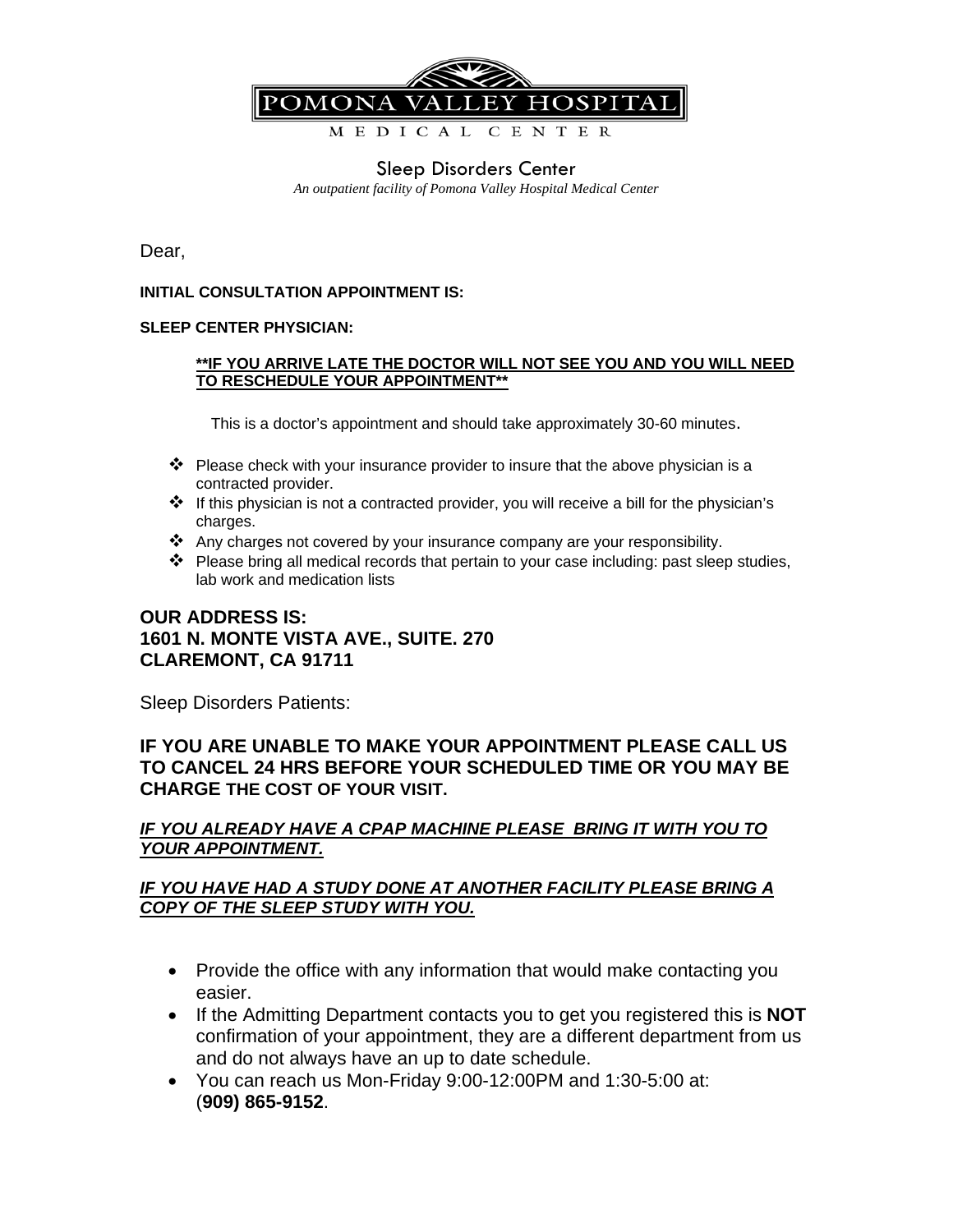

# Sleep Disorders Center

*An outpatient facility of Pomona Valley Hospital Medical Center* 

Dear,

#### **INITIAL CONSULTATION APPOINTMENT IS:**

#### **SLEEP CENTER PHYSICIAN:**

#### **\*\*IF YOU ARRIVE LATE THE DOCTOR WILL NOT SEE YOU AND YOU WILL NEED TO RESCHEDULE YOUR APPOINTMENT\*\***

This is a doctor's appointment and should take approximately 30-60 minutes.

- $\mathbf{\hat{P}}$  Please check with your insurance provider to insure that the above physician is a contracted provider.
- If this physician is not a contracted provider, you will receive a bill for the physician's charges.
- \* Any charges not covered by your insurance company are your responsibility.
- $\triangle$  Please bring all medical records that pertain to your case including: past sleep studies, lab work and medication lists

# **OUR ADDRESS IS: 1601 N. MONTE VISTA AVE., SUITE. 270 CLAREMONT, CA 91711**

Sleep Disorders Patients:

# **IF YOU ARE UNABLE TO MAKE YOUR APPOINTMENT PLEASE CALL US TO CANCEL 24 HRS BEFORE YOUR SCHEDULED TIME OR YOU MAY BE CHARGE THE COST OF YOUR VISIT.**

#### *IF YOU ALREADY HAVE A CPAP MACHINE PLEASE BRING IT WITH YOU TO YOUR APPOINTMENT.*

# *IF YOU HAVE HAD A STUDY DONE AT ANOTHER FACILITY PLEASE BRING A COPY OF THE SLEEP STUDY WITH YOU.*

- Provide the office with any information that would make contacting you easier.
- If the Admitting Department contacts you to get you registered this is **NOT**  confirmation of your appointment, they are a different department from us and do not always have an up to date schedule.
- You can reach us Mon-Friday 9:00-12:00PM and 1:30-5:00 at: (**909) 865-9152**.